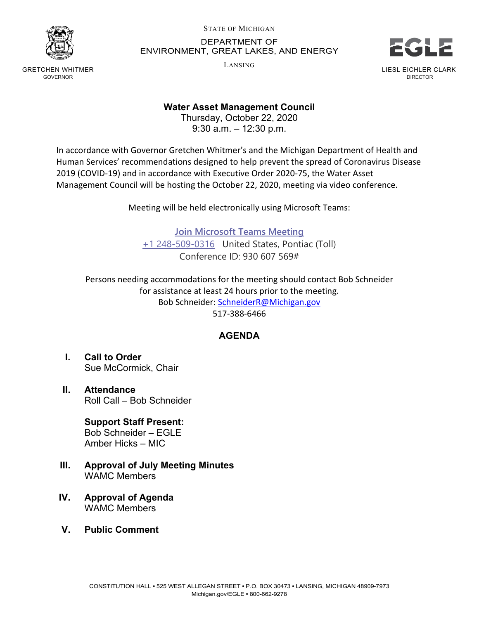

GRETCHEN WHITMER GOVERNOR

## STATE OF MICHIGAN DEPARTMENT OF ENVIRONMENT, GREAT LAKES, AND ENERGY

LANSING



LIESL EICHLER CLARK DIRECTOR

## **Water Asset Management Council**

Thursday, October 22, 2020 9:30 a.m. – 12:30 p.m.

In accordance with Governor Gretchen Whitmer's and the Michigan Department of Health and Human Services' recommendations designed to help prevent the spread of Coronavirus Disease 2019 (COVID-19) and in accordance with Executive Order 2020-75, the Water Asset Management Council will be hosting the October 22, 2020, meeting via video conference.

Meeting will be held electronically using Microsoft Teams:

**[Join Microsoft Teams Meeting](https://teams.microsoft.com/l/meetup-join/19%3ameeting_OGIwODgyOTAtNDk1Zi00MTgwLWI5MGEtNjhkZDZiZmU2Yjc2%40thread.v2/0?context=%7b%22Tid%22%3a%22d5fb7087-3777-42ad-966a-892ef47225d1%22%2c%22Oid%22%3a%2218ca67f8-8475-4d12-a415-e75651bfc6c2%22%7d)** [+1 248-509-0316](tel:+1%20248-509-0316,,930607569#%20) United States, Pontiac (Toll) Conference ID: 930 607 569#

Persons needing accommodations for the meeting should contact Bob Schneider for assistance at least 24 hours prior to the meeting. Bob Schneider: [SchneiderR@Michigan.gov](mailto:SchneiderR@Michigan.gov) 517-388-6466

## **AGENDA**

- **I. Call to Order** Sue McCormick, Chair
- **II. Attendance** Roll Call – Bob Schneider

**Support Staff Present:** Bob Schneider – EGLE Amber Hicks – MIC

- **III. Approval of July Meeting Minutes** WAMC Members
- **IV. Approval of Agenda** WAMC Members
- **V. Public Comment**